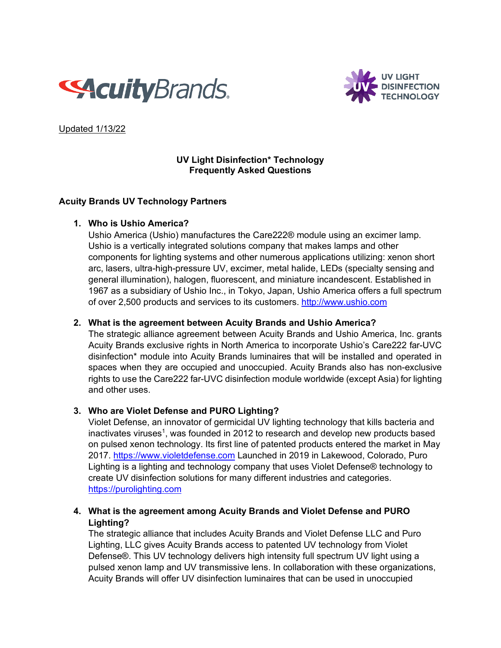



Updated 1/13/22

#### **UV Light Disinfection\* Technology Frequently Asked Questions**

## **Acuity Brands UV Technology Partners**

## **1. Who is Ushio America?**

Ushio America (Ushio) manufactures the Care222® module using an excimer lamp. Ushio is a vertically integrated solutions company that makes lamps and other components for lighting systems and other numerous applications utilizing: xenon short arc, lasers, ultra-high-pressure UV, excimer, metal halide, LEDs (specialty sensing and general illumination), halogen, fluorescent, and miniature incandescent. Established in 1967 as a subsidiary of Ushio Inc., in Tokyo, Japan, Ushio America offers a full spectrum of over 2,500 products and services to its customers. [http://www.ushio.com](http://www.ushio.com/)

## **2. What is the agreement between Acuity Brands and Ushio America?**

The strategic alliance agreement between Acuity Brands and Ushio America, Inc. grants Acuity Brands exclusive rights in North America to incorporate Ushio's Care222 far-UVC disinfection\* module into Acuity Brands luminaires that will be installed and operated in spaces when they are occupied and unoccupied. Acuity Brands also has non-exclusive rights to use the Care222 far-UVC disinfection module worldwide (except Asia) for lighting and other uses.

## **3. Who are Violet Defense and PURO Lighting?**

Violet Defense, an innovator of germicidal UV lighting technology that kills bacteria and inactivates viruses<sup>1</sup>, was founded in 2012 to research and develop new products based on pulsed xenon technology. Its first line of patented products entered the market in May 2017. [https://www.violetdefense.com](https://www.violetdefense.com/) Launched in 2019 in Lakewood, Colorado, Puro Lighting is a lighting and technology company that uses Violet Defense® technology to create UV disinfection solutions for many different industries and categories. [https://purolighting.com](https://purolighting.com/)

# **4. What is the agreement among Acuity Brands and Violet Defense and PURO Lighting?**

The strategic alliance that includes Acuity Brands and Violet Defense LLC and Puro Lighting, LLC gives Acuity Brands access to patented UV technology from Violet Defense®. This UV technology delivers high intensity full spectrum UV light using a pulsed xenon lamp and UV transmissive lens. In collaboration with these organizations, Acuity Brands will offer UV disinfection luminaires that can be used in unoccupied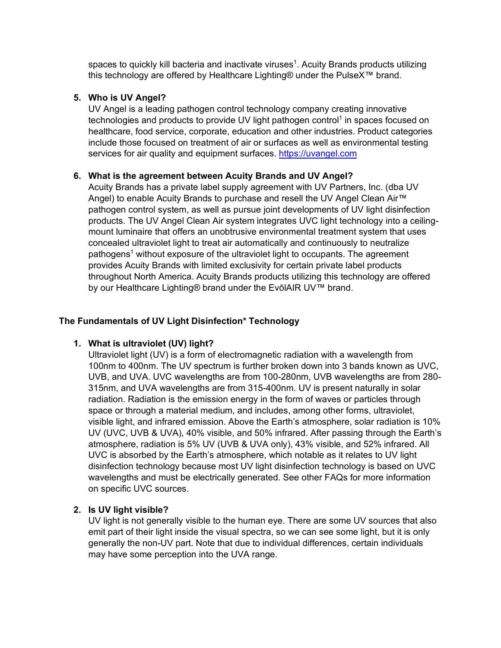spaces to quickly kill bacteria and inactivate viruses<sup>1</sup>. Acuity Brands products utilizing this technology are offered by Healthcare Lighting® under the PulseX™ brand.

#### **5. Who is UV Angel?**

UV Angel is a leading pathogen control technology company creating innovative technologies and products to provide UV light pathogen control<sup>1</sup> in spaces focused on healthcare, food service, corporate, education and other industries. Product categories include those focused on treatment of air or surfaces as well as environmental testing services for air quality and equipment surfaces. [https://uvangel.com](https://uvangel.com/)

## **6. What is the agreement between Acuity Brands and UV Angel?**

Acuity Brands has a private label supply agreement with UV Partners, Inc. (dba UV Angel) to enable Acuity Brands to purchase and resell the [UV Angel Clean Air™](https://uvangel.com/air-series/)  [pathogen control system,](https://uvangel.com/air-series/) as well as pursue joint developments of UV light disinfection products. The UV Angel Clean Air system integrates UVC light technology into a ceilingmount luminaire that offers an unobtrusive environmental treatment system that uses concealed ultraviolet light to treat air automatically and continuously to neutralize pathogens<sup>1</sup> without exposure of the ultraviolet light to occupants. The agreement provides Acuity Brands with limited exclusivity for certain private label products throughout North America. Acuity Brands products utilizing this technology are offered by our Healthcare Lighting® brand under the EvōlAIR UV™ brand.

#### **The Fundamentals of UV Light Disinfection\* Technology**

## **1. What is ultraviolet (UV) light?**

Ultraviolet light (UV) is a form of electromagnetic radiation with a wavelength from 100nm to 400nm. The UV spectrum is further broken down into 3 bands known as UVC, UVB, and UVA. UVC wavelengths are from 100-280nm, UVB wavelengths are from 280- 315nm, and UVA wavelengths are from 315-400nm. UV is present naturally in solar radiation. Radiation is the emission energy in the form of waves or particles through space or through a material medium, and includes, among other forms, ultraviolet, visible light, and infrared emission. Above the Earth's atmosphere, solar radiation is 10% UV (UVC, UVB & UVA), 40% visible, and 50% infrared. After passing through the Earth's atmosphere, radiation is 5% UV (UVB & UVA only), 43% visible, and 52% infrared. All UVC is absorbed by the Earth's atmosphere, which notable as it relates to UV light disinfection technology because most UV light disinfection technology is based on UVC wavelengths and must be electrically generated. See other FAQs for more information on specific UVC sources.

#### **2. Is UV light visible?**

UV light is not generally visible to the human eye. There are some UV sources that also emit part of their light inside the visual spectra, so we can see some light, but it is only generally the non-UV part. Note that due to individual differences, certain individuals may have some perception into the UVA range.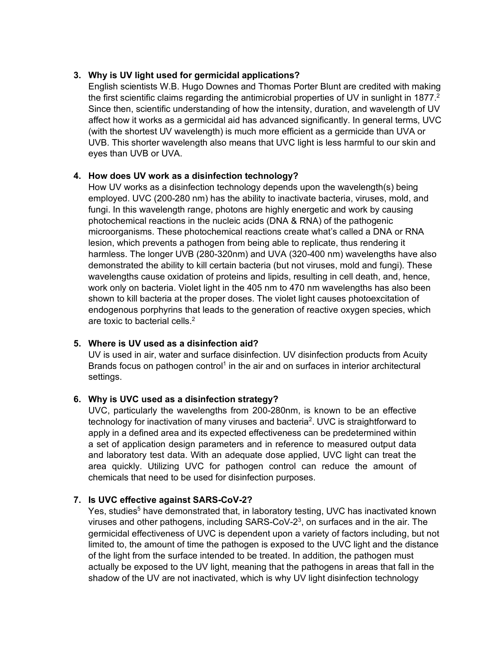## **3. Why is UV light used for germicidal applications?**

English scientists W.B. Hugo Downes and Thomas Porter Blunt are credited with making the first scientific claims regarding the antimicrobial properties of UV in sunlight in 1877. $2$ Since then, scientific understanding of how the intensity, duration, and wavelength of UV affect how it works as a germicidal aid has advanced significantly. In general terms, UVC (with the shortest UV wavelength) is much more efficient as a germicide than UVA or UVB. This shorter wavelength also means that UVC light is less harmful to our skin and eyes than UVB or UVA.

## **4. How does UV work as a disinfection technology?**

How UV works as a disinfection technology depends upon the wavelength(s) being employed. UVC (200-280 nm) has the ability to inactivate bacteria, viruses, mold, and fungi. In this wavelength range, photons are highly energetic and work by causing photochemical reactions in the nucleic acids (DNA & RNA) of the pathogenic microorganisms. These photochemical reactions create what's called a DNA or RNA lesion, which prevents a pathogen from being able to replicate, thus rendering it harmless. The longer UVB (280-320nm) and UVA (320-400 nm) wavelengths have also demonstrated the ability to kill certain bacteria (but not viruses, mold and fungi). These wavelengths cause oxidation of proteins and lipids, resulting in cell death, and, hence, work only on bacteria. Violet light in the 405 nm to 470 nm wavelengths has also been shown to kill bacteria at the proper doses. The violet light causes photoexcitation of endogenous porphyrins that leads to the generation of reactive oxygen species, which are toxic to bacterial cells.<sup>2</sup>

## **5. Where is UV used as a disinfection aid?**

UV is used in air, water and surface disinfection. UV disinfection products from Acuity Brands focus on pathogen control<sup>1</sup> in the air and on surfaces in interior architectural settings.

# **6. Why is UVC used as a disinfection strategy?**

UVC, particularly the wavelengths from 200-280nm, is known to be an effective technology for inactivation of many viruses and bacteria<sup>2</sup>. UVC is straightforward to apply in a defined area and its expected effectiveness can be predetermined within a set of application design parameters and in reference to measured output data and laboratory test data. With an adequate dose applied, UVC light can treat the area quickly. Utilizing UVC for pathogen control can reduce the amount of chemicals that need to be used for disinfection purposes.

## **7. Is UVC effective against SARS-CoV-2?**

Yes, studies<sup>5</sup> have demonstrated that, in laboratory testing, UVC has inactivated known viruses and other pathogens, including  $SARS-CoV-2<sup>3</sup>$ , on surfaces and in the air. The germicidal effectiveness of UVC is dependent upon a variety of factors including, but not limited to, the amount of time the pathogen is exposed to the UVC light and the distance of the light from the surface intended to be treated. In addition, the pathogen must actually be exposed to the UV light, meaning that the pathogens in areas that fall in the shadow of the UV are not inactivated, which is why UV light disinfection technology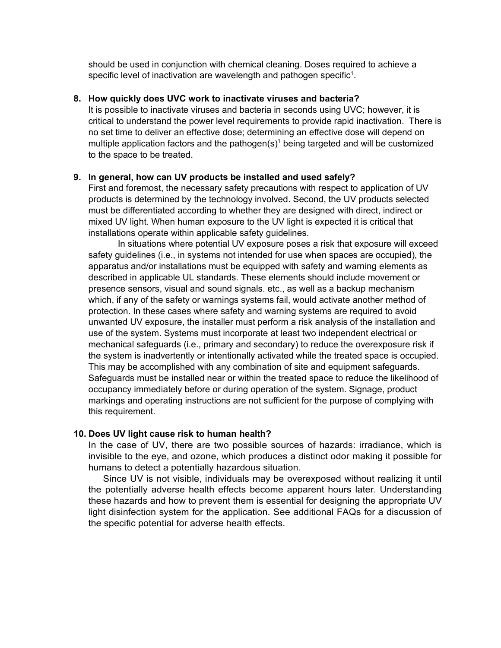should be used in conjunction with chemical cleaning. Doses required to achieve a specific level of inactivation are wavelength and pathogen specific<sup>1</sup>.

#### **8. How quickly does UVC work to inactivate viruses and bacteria?**

It is possible to inactivate viruses and bacteria in seconds using UVC; however, it is critical to understand the power level requirements to provide rapid inactivation. There is no set time to deliver an effective dose; determining an effective dose will depend on multiple application factors and the pathogen(s)<sup>1</sup> being targeted and will be customized to the space to be treated.

#### **9. In general, how can UV products be installed and used safely?**

First and foremost, the necessary safety precautions with respect to application of UV products is determined by the technology involved. Second, the UV products selected must be differentiated according to whether they are designed with direct, indirect or mixed UV light. When human exposure to the UV light is expected it is critical that installations operate within applicable safety guidelines.

In situations where potential UV exposure poses a risk that exposure will exceed safety guidelines (i.e., in systems not intended for use when spaces are occupied), the apparatus and/or installations must be equipped with safety and warning elements as described in applicable UL standards. These elements should include movement or presence sensors, visual and sound signals. etc., as well as a backup mechanism which, if any of the safety or warnings systems fail, would activate another method of protection. In these cases where safety and warning systems are required to avoid unwanted UV exposure, the installer must perform a risk analysis of the installation and use of the system. Systems must incorporate at least two independent electrical or mechanical safeguards (i.e., primary and secondary) to reduce the overexposure risk if the system is inadvertently or intentionally activated while the treated space is occupied. This may be accomplished with any combination of site and equipment safeguards. Safeguards must be installed near or within the treated space to reduce the likelihood of occupancy immediately before or during operation of the system. Signage, product markings and operating instructions are not sufficient for the purpose of complying with this requirement.

#### **10. Does UV light cause risk to human health?**

In the case of UV, there are two possible sources of hazards: irradiance, which is invisible to the eye, and ozone, which produces a distinct odor making it possible for humans to detect a potentially hazardous situation.

Since UV is not visible, individuals may be overexposed without realizing it until the potentially adverse health effects become apparent hours later. Understanding these hazards and how to prevent them is essential for designing the appropriate UV light disinfection system for the application. See additional FAQs for a discussion of the specific potential for adverse health effects.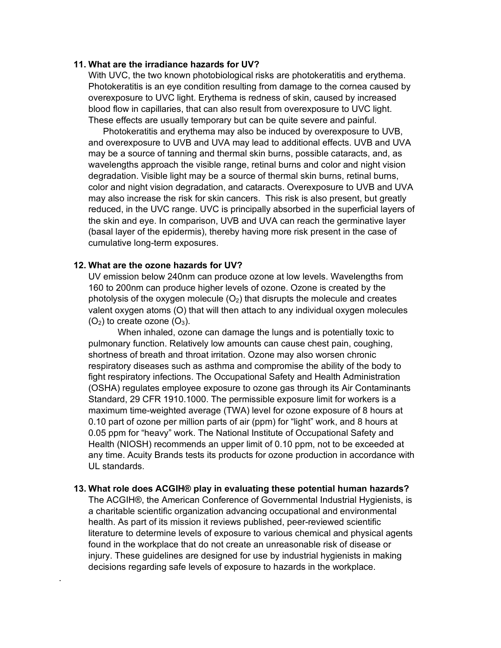#### **11. What are the irradiance hazards for UV?**

With UVC, the two known photobiological risks are photokeratitis and erythema. Photokeratitis is an eye condition resulting from damage to the cornea caused by overexposure to UVC light. Erythema is redness of skin, caused by increased blood flow in capillaries, that can also result from overexposure to UVC light. These effects are usually temporary but can be quite severe and painful.

Photokeratitis and erythema may also be induced by overexposure to UVB, and overexposure to UVB and UVA may lead to additional effects. UVB and UVA may be a source of tanning and thermal skin burns, possible cataracts, and, as wavelengths approach the visible range, retinal burns and color and night vision degradation. Visible light may be a source of thermal skin burns, retinal burns, color and night vision degradation, and cataracts. Overexposure to UVB and UVA may also increase the risk for skin cancers. This risk is also present, but greatly reduced, in the UVC range. UVC is principally absorbed in the superficial layers of the skin and eye. In comparison, UVB and UVA can reach the germinative layer (basal layer of the epidermis), thereby having more risk present in the case of cumulative long-term exposures.

#### **12. What are the ozone hazards for UV?**

.

UV emission below 240nm can produce ozone at low levels. Wavelengths from 160 to 200nm can produce higher levels of ozone. Ozone is created by the photolysis of the oxygen molecule  $(O_2)$  that disrupts the molecule and creates valent oxygen atoms (O) that will then attach to any individual oxygen molecules  $(O<sub>2</sub>)$  to create ozone  $(O<sub>3</sub>)$ .

When inhaled, ozone can damage the lungs and is potentially toxic to pulmonary function. Relatively low amounts can cause chest pain, coughing, shortness of breath and throat irritation. Ozone may also worsen chronic respiratory diseases such as asthma and compromise the ability of the body to fight respiratory infections. The Occupational Safety and Health Administration (OSHA) regulates employee exposure to ozone gas through its Air Contaminants Standard, 29 CFR 1910.1000. The permissible exposure limit for workers is a maximum time-weighted average (TWA) level for ozone exposure of 8 hours at 0.10 part of ozone per million parts of air (ppm) for "light" work, and 8 hours at 0.05 ppm for "heavy" work. The National Institute of Occupational Safety and Health (NIOSH) recommends an upper limit of 0.10 ppm, not to be exceeded at any time. Acuity Brands tests its products for ozone production in accordance with UL standards.

#### **13. What role does ACGIH® play in evaluating these potential human hazards?**

The ACGIH®, the American Conference of Governmental Industrial Hygienists, is a charitable scientific organization advancing occupational and environmental health. As part of its mission it reviews published, peer-reviewed scientific literature to determine levels of exposure to various chemical and physical agents found in the workplace that do not create an unreasonable risk of disease or injury. These guidelines are designed for use by industrial hygienists in making decisions regarding safe levels of exposure to hazards in the workplace.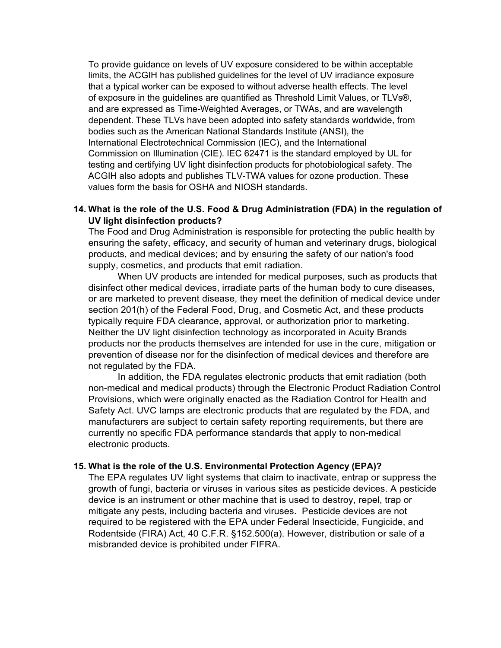To provide guidance on levels of UV exposure considered to be within acceptable limits, the ACGIH has published guidelines for the level of UV irradiance exposure that a typical worker can be exposed to without adverse health effects. The level of exposure in the guidelines are quantified as Threshold Limit Values, or TLVs®, and are expressed as Time-Weighted Averages, or TWAs, and are wavelength dependent. These TLVs have been adopted into safety standards worldwide, from bodies such as the American National Standards Institute (ANSI), the International Electrotechnical Commission (IEC), and the International Commission on Illumination (CIE). IEC 62471 is the standard employed by UL for testing and certifying UV light disinfection products for photobiological safety. The ACGIH also adopts and publishes TLV-TWA values for ozone production. These values form the basis for OSHA and NIOSH standards.

## **14. What is the role of the U.S. Food & Drug Administration (FDA) in the regulation of UV light disinfection products?**

The Food and Drug Administration is responsible for protecting the public health by ensuring the safety, efficacy, and security of human and veterinary drugs, biological products, and medical devices; and by ensuring the safety of our nation's food supply, cosmetics, and products that emit radiation.

When UV products are intended for medical purposes, such as products that disinfect other medical devices, irradiate parts of the human body to cure diseases, or are marketed to prevent disease, they meet the definition of medical device under section 201(h) of the Federal Food, Drug, and Cosmetic Act, and these products typically require FDA clearance, approval, or authorization prior to marketing. Neither the UV light disinfection technology as incorporated in Acuity Brands products nor the products themselves are intended for use in the cure, mitigation or prevention of disease nor for the disinfection of medical devices and therefore are not regulated by the FDA.

In addition, the FDA regulates electronic products that emit radiation (both non-medical and medical products) through the Electronic Product Radiation Control Provisions, which were originally enacted as the Radiation Control for Health and Safety Act. UVC lamps are electronic products that are regulated by the FDA, and manufacturers are subject to certain safety reporting requirements, but there are currently no specific FDA performance standards that apply to non-medical electronic products.

#### **15. What is the role of the U.S. Environmental Protection Agency (EPA)?**

The EPA regulates UV light systems that claim to inactivate, entrap or suppress the growth of fungi, bacteria or viruses in various sites as pesticide devices. A pesticide device is an instrument or other machine that is used to destroy, repel, trap or mitigate any pests, including bacteria and viruses. Pesticide devices are not required to be registered with the EPA under Federal Insecticide, Fungicide, and Rodentside (FIRA) Act, 40 C.F.R. §152.500(a). However, distribution or sale of a misbranded device is prohibited under FIFRA.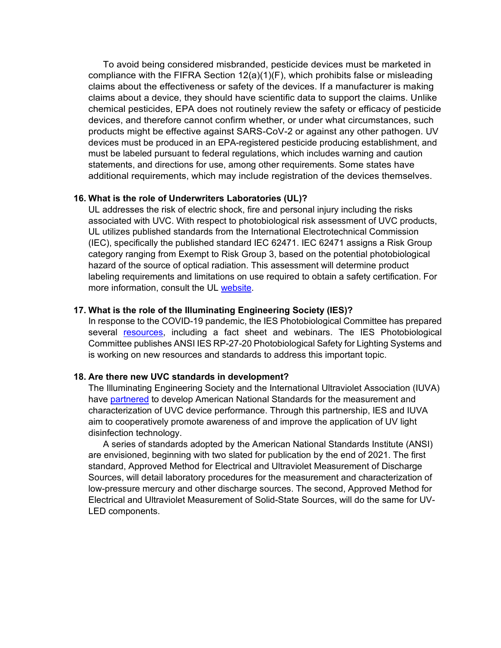To avoid being considered misbranded, pesticide devices must be marketed in compliance with the FIFRA Section 12(a)(1)(F), which prohibits false or misleading claims about the effectiveness or safety of the devices. If a manufacturer is making claims about a device, they should have scientific data to support the claims. Unlike chemical pesticides, EPA does not routinely review the safety or efficacy of pesticide devices, and therefore cannot confirm whether, or under what circumstances, such products might be effective against SARS-CoV-2 or against any other pathogen. UV devices must be produced in an EPA-registered pesticide producing establishment, and must be labeled pursuant to federal regulations, which includes warning and caution statements, and directions for use, among other requirements. Some states have additional requirements, which may include registration of the devices themselves.

#### **16. What is the role of Underwriters Laboratories (UL)?**

UL addresses the risk of electric shock, fire and personal injury including the risks associated with UVC. With respect to photobiological risk assessment of UVC products, UL utilizes published standards from the International Electrotechnical Commission (IEC), specifically the published standard IEC 62471. IEC 62471 assigns a Risk Group category ranging from Exempt to Risk Group 3, based on the potential photobiological hazard of the source of optical radiation. This assessment will determine product labeling requirements and limitations on use required to obtain a safety certification. For more information, consult the UL [website.](https://www.ul.com/services/ultraviolet-uvc-light-testing-and-certification)

#### **17. What is the role of the Illuminating Engineering Society (IES)?**

In response to the COVID-19 pandemic, the IES Photobiological Committee has prepared several [resources,](https://www.ies.org/standards/committee-reports/) including a fact sheet and webinars. The IES Photobiological Committee publishes ANSI IES RP-27-20 Photobiological Safety for Lighting Systems and is working on new resources and standards to address this important topic.

#### **18. Are there new UVC standards in development?**

The Illuminating Engineering Society and the International Ultraviolet Association (IUVA) have [partnered](https://www.ies.org/pressroom/ies-and-iuva-collaborate-to-publish-ansi-standards-for-measuring-ultraviolet-c-band-uv-c-sources-used-for-disinfection/) to develop American National Standards for the measurement and characterization of UVC device performance. Through this partnership, IES and IUVA aim to cooperatively promote awareness of and improve the application of UV light disinfection technology.

A series of standards adopted by the American National Standards Institute (ANSI) are envisioned, beginning with two slated for publication by the end of 2021. The first standard, Approved Method for Electrical and Ultraviolet Measurement of Discharge Sources, will detail laboratory procedures for the measurement and characterization of low-pressure mercury and other discharge sources. The second, Approved Method for Electrical and Ultraviolet Measurement of Solid-State Sources, will do the same for UV-LED components.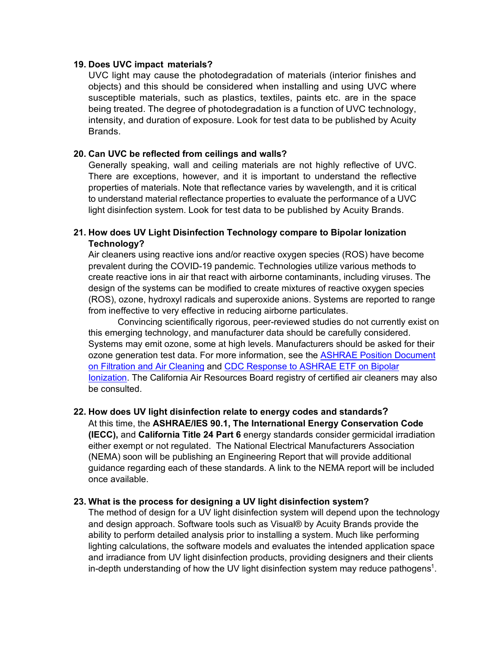#### **19. Does UVC impact materials?**

UVC light may cause the photodegradation of materials (interior finishes and objects) and this should be considered when installing and using UVC where susceptible materials, such as plastics, textiles, paints etc. are in the space being treated. The degree of photodegradation is a function of UVC technology, intensity, and duration of exposure. Look for test data to be published by Acuity Brands.

#### **20. Can UVC be reflected from ceilings and walls?**

Generally speaking, wall and ceiling materials are not highly reflective of UVC. There are exceptions, however, and it is important to understand the reflective properties of materials. Note that reflectance varies by wavelength, and it is critical to understand material reflectance properties to evaluate the performance of a UVC light disinfection system. Look for test data to be published by Acuity Brands.

# **21. How does UV Light Disinfection Technology compare to Bipolar Ionization Technology?**

Air cleaners using reactive ions and/or reactive oxygen species (ROS) have become prevalent during the COVID-19 pandemic. Technologies utilize various methods to create reactive ions in air that react with airborne contaminants, including viruses. The design of the systems can be modified to create mixtures of reactive oxygen species (ROS), ozone, hydroxyl radicals and superoxide anions. Systems are reported to range from ineffective to very effective in reducing airborne particulates.

Convincing scientifically rigorous, peer-reviewed studies do not currently exist on this emerging technology, and manufacturer data should be carefully considered. Systems may emit ozone, some at high levels. Manufacturers should be asked for their ozone generation test data. For more information, see the **ASHRAE Position Document** [on Filtration and Air Cleaning](https://www.ashrae.org/file%20library/about/position%20documents/filtration-and-air-cleaning-pd.pdf) and CDC Response to ASHRAE ETF on Bipolar [Ionization.](https://www.ashrae.org/technical-resources/filtration-disinfection) The California Air Resources Board registry of certified air cleaners may also be consulted.

## **22. How does UV light disinfection relate to energy codes and standards?**

At this time, the **ASHRAE/IES 90.1, The International Energy Conservation Code (IECC),** and **California Title 24 Part 6** energy standards consider germicidal irradiation either exempt or not regulated. The National Electrical Manufacturers Association (NEMA) soon will be publishing an Engineering Report that will provide additional guidance regarding each of these standards. A link to the NEMA report will be included once available.

#### **23. What is the process for designing a UV light disinfection system?**

The method of design for a UV light disinfection system will depend upon the technology and design approach. Software tools such as Visual® by Acuity Brands provide the ability to perform detailed analysis prior to installing a system. Much like performing lighting calculations, the software models and evaluates the intended application space and irradiance from UV light disinfection products, providing designers and their clients in-depth understanding of how the UV light disinfection system may reduce pathogens<sup>1</sup>.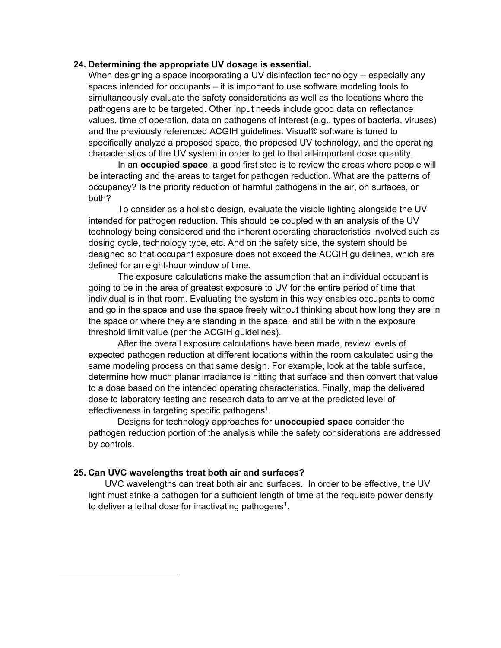#### **24. Determining the appropriate UV dosage is essential.**

When designing a space incorporating a UV disinfection technology -- especially any spaces intended for occupants – it is important to use software modeling tools to simultaneously evaluate the safety considerations as well as the locations where the pathogens are to be targeted. Other input needs include good data on reflectance values, time of operation, data on pathogens of interest (e.g., types of bacteria, viruses) and the previously referenced ACGIH guidelines. Visual® software is tuned to specifically analyze a proposed space, the proposed UV technology, and the operating characteristics of the UV system in order to get to that all-important dose quantity.

In an **occupied space**, a good first step is to review the areas where people will be interacting and the areas to target for pathogen reduction. What are the patterns of occupancy? Is the priority reduction of harmful pathogens in the air, on surfaces, or both?

To consider as a holistic design, evaluate the visible lighting alongside the UV intended for pathogen reduction. This should be coupled with an analysis of the UV technology being considered and the inherent operating characteristics involved such as dosing cycle, technology type, etc. And on the safety side, the system should be designed so that occupant exposure does not exceed the ACGIH guidelines, which are defined for an eight-hour window of time.

The exposure calculations make the assumption that an individual occupant is going to be in the area of greatest exposure to UV for the entire period of time that individual is in that room. Evaluating the system in this way enables occupants to come and go in the space and use the space freely without thinking about how long they are in the space or where they are standing in the space, and still be within the exposure threshold limit value (per the ACGIH guidelines).

After the overall exposure calculations have been made, review levels of expected pathogen reduction at different locations within the room calculated using the same modeling process on that same design. For example, look at the table surface, determine how much planar irradiance is hitting that surface and then convert that value to a dose based on the intended operating characteristics. Finally, map the delivered dose to laboratory testing and research data to arrive at the predicted level of effectiveness in targeting specific pathogens<sup>1</sup>.

Designs for technology approaches for **unoccupied space** consider the pathogen reduction portion of the analysis while the safety considerations are addressed by controls.

#### **25. Can UVC wavelengths treat both air and surfaces?**

<span id="page-8-0"></span>UVC wavelengths can treat both air and surfaces. In order to be effective, the UV light must strike a pathogen for a sufficient length of time at the requisite power density to deliver a lethal dose for inactivating pathogens<sup>[1](#page-8-0)</sup>.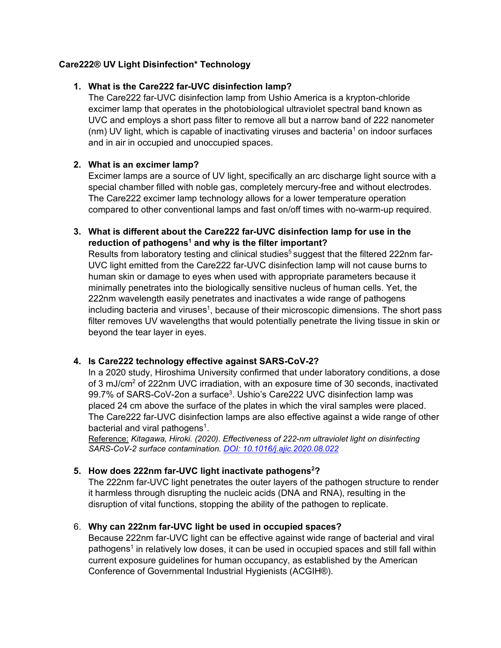# **Care222® UV Light Disinfection\* Technology**

# **1. What is the Care222 far-UVC disinfection lamp?**

The Care222 far-UVC disinfection lamp from Ushio America is a krypton-chloride excimer lamp that operates in the photobiological ultraviolet spectral band known as UVC and employs a short pass filter to remove all but a narrow band of 222 nanometer  $(nm)$  UV light, which is capable of inactivating viruses and bacteria<sup>1</sup> on indoor surfaces and in air in occupied and unoccupied spaces.

# **2. What is an excimer lamp?**

Excimer lamps are a source of UV light, specifically an arc discharge light source with a special chamber filled with noble gas, completely mercury-free and without electrodes. The Care222 excimer lamp technology allows for a lower temperature operation compared to other conventional lamps and fast on/off times with no-warm-up required.

# **3. What is different about the Care222 far-UVC disinfection lamp for use in the**  reduction of pathogens<sup>1</sup> and why is the filter important?

Results from laboratory testing and clinical studies<sup>5</sup> suggest that the filtered 222nm far-UVC light emitted from the Care222 far-UVC disinfection lamp will not cause burns to human skin or damage to eyes when used with appropriate parameters because it minimally penetrates into the biologically sensitive nucleus of human cells. Yet, the 222nm wavelength easily penetrates and inactivates a wide range of pathogens including bacteria and viruses<sup>1</sup>, because of their microscopic dimensions. The short pass filter removes UV wavelengths that would potentially penetrate the living tissue in skin or beyond the tear layer in eyes.

# **4. Is Care222 technology effective against SARS-CoV-2?**

In a 2020 study, Hiroshima University confirmed that under laboratory conditions, a dose of 3 mJ/cm2 of 222nm UVC irradiation, with an exposure time of 30 seconds, inactivated 99.7% of SARS-CoV-2on a surface<sup>3</sup>. Ushio's Care222 UVC disinfection lamp was placed 24 cm above the surface of the plates in which the viral samples were placed. The Care222 far-UVC disinfection lamps are also effective against a wide range of other bacterial and viral pathogens<sup>1</sup>.

Reference: *Kitagawa, Hiroki. (2020). Effectiveness of 222-nm ultraviolet light on disinfecting SARS-CoV-2 surface contamination. [DOI: 10.1016/j.ajic.2020.08.022](https://www.ajicjournal.org/article/S0196-6553(20)30809-9/fulltext)*

## 5. How does 222nm far-UVC light inactivate pathogens<sup>2</sup>?

The 222nm far-UVC light penetrates the outer layers of the pathogen structure to render it harmless through disrupting the nucleic acids (DNA and RNA), resulting in the disruption of vital functions, stopping the ability of the pathogen to replicate.

## 6. **Why can 222nm far-UVC light be used in occupied spaces?**

Because 222nm far-UVC light can be effective against wide range of bacterial and viral pathogens<sup>1</sup> in relatively low doses, it can be used in occupied spaces and still fall within current exposure guidelines for human occupancy, as established by the American Conference of Governmental Industrial Hygienists (ACGIH®).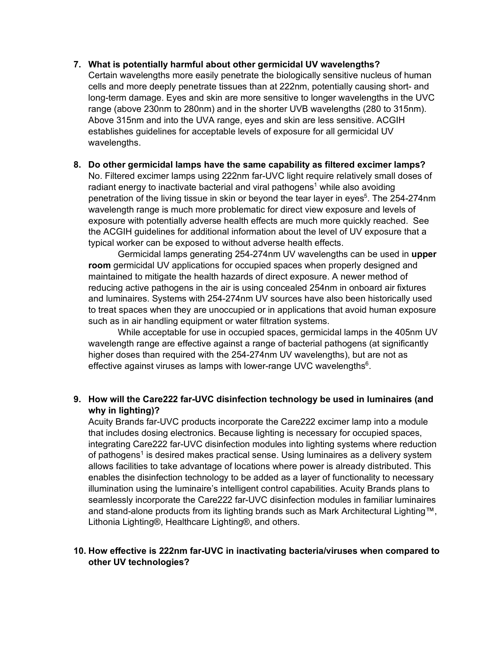**7. What is potentially harmful about other germicidal UV wavelengths?**

Certain wavelengths more easily penetrate the biologically sensitive nucleus of human cells and more deeply penetrate tissues than at 222nm, potentially causing short- and long-term damage. Eyes and skin are more sensitive to longer wavelengths in the UVC range (above 230nm to 280nm) and in the shorter UVB wavelengths (280 to 315nm). Above 315nm and into the UVA range, eyes and skin are less sensitive. ACGIH establishes guidelines for acceptable levels of exposure for all germicidal UV wavelengths.

**8. Do other germicidal lamps have the same capability as filtered excimer lamps?**  No. Filtered excimer lamps using 222nm far-UVC light require relatively small doses of radiant energy to inactivate bacterial and viral pathogens<sup>1</sup> while also avoiding penetration of the living tissue in skin or beyond the tear layer in eyes<sup>5</sup>. The 254-274nm wavelength range is much more problematic for direct view exposure and levels of exposure with potentially adverse health effects are much more quickly reached. See the ACGIH guidelines for additional information about the level of UV exposure that a typical worker can be exposed to without adverse health effects.

Germicidal lamps generating 254-274nm UV wavelengths can be used in **upper room** germicidal UV applications for occupied spaces when properly designed and maintained to mitigate the health hazards of direct exposure. A newer method of reducing active pathogens in the air is using concealed 254nm in onboard air fixtures and luminaires. Systems with 254-274nm UV sources have also been historically used to treat spaces when they are unoccupied or in applications that avoid human exposure such as in air handling equipment or water filtration systems.

While acceptable for use in occupied spaces, germicidal lamps in the 405nm UV wavelength range are effective against a range of bacterial pathogens (at significantly higher doses than required with the 254-274nm UV wavelengths), but are not as effective against viruses as lamps with lower-range UVC wavelengths<sup>6</sup>.

# **9. How will the Care222 far-UVC disinfection technology be used in luminaires (and why in lighting)?**

Acuity Brands far-UVC products incorporate the Care222 excimer lamp into a module that includes dosing electronics. Because lighting is necessary for occupied spaces, integrating Care222 far-UVC disinfection modules into lighting systems where reduction of pathogens<sup>1</sup> is desired makes practical sense. Using luminaires as a delivery system allows facilities to take advantage of locations where power is already distributed. This enables the disinfection technology to be added as a layer of functionality to necessary illumination using the luminaire's intelligent control capabilities. Acuity Brands plans to seamlessly incorporate the Care222 far-UVC disinfection modules in familiar luminaires and stand-alone products from its lighting brands such as Mark Architectural Lighting™, Lithonia Lighting®, Healthcare Lighting®, and others.

## **10. How effective is 222nm far-UVC in inactivating bacteria/viruses when compared to other UV technologies?**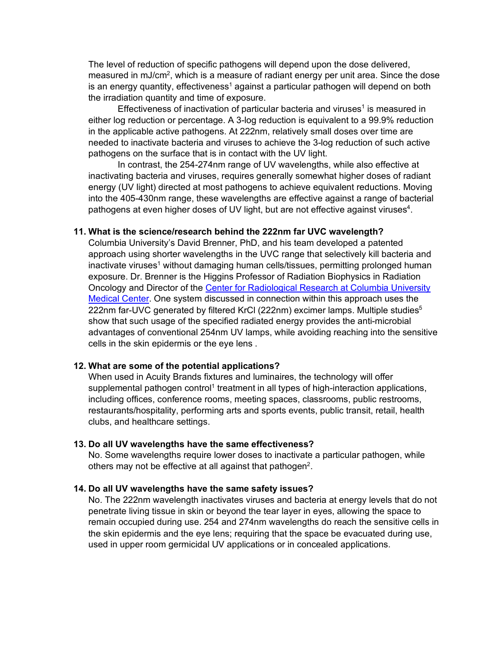The level of reduction of specific pathogens will depend upon the dose delivered, measured in mJ/cm<sup>2</sup>, which is a measure of radiant energy per unit area. Since the dose is an energy quantity, effectiveness<sup>1</sup> against a particular pathogen will depend on both the irradiation quantity and time of exposure.

Effectiveness of inactivation of particular bacteria and viruses<sup>1</sup> is measured in either log reduction or percentage. A 3-log reduction is equivalent to a 99.9% reduction in the applicable active pathogens. At 222nm, relatively small doses over time are needed to inactivate bacteria and viruses to achieve the 3-log reduction of such active pathogens on the surface that is in contact with the UV light.

In contrast, the 254-274nm range of UV wavelengths, while also effective at inactivating bacteria and viruses, requires generally somewhat higher doses of radiant energy (UV light) directed at most pathogens to achieve equivalent reductions. Moving into the 405-430nm range, these wavelengths are effective against a range of bacterial pathogens at even higher doses of UV light, but are not effective against viruses<sup>4</sup>.

#### **11. What is the science/research behind the 222nm far UVC wavelength?**

Columbia University's [David Brenner, PhD,](http://www.columbia.edu/%7Edjb3/) and his team developed a patented approach using shorter wavelengths in the UVC range that selectively kill bacteria and inactivate viruses<sup>1</sup> without damaging human cells/tissues, permitting prolonged human exposure. Dr. Brenner is the Higgins Professor of Radiation Biophysics in Radiation Oncology and Director of the Center for Radiological Research [at Columbia University](https://www.crr.columbia.edu/) [Medical Center.](https://www.crr.columbia.edu/) One system discussed in connection within this approach uses the 222nm far-UVC generated by filtered KrCl (222nm) excimer lamps. Multiple studies<sup>5</sup> show that such usage of the specified radiated energy provides the anti-microbial advantages of conventional 254nm UV lamps, while avoiding reaching into the sensitive cells in the skin epidermis or the eye lens .

#### **12. What are some of the potential applications?**

When used in Acuity Brands fixtures and luminaires, the technology will offer supplemental pathogen control<sup>1</sup> treatment in all types of high-interaction applications, including offices, conference rooms, meeting spaces, classrooms, public restrooms, restaurants/hospitality, performing arts and sports events, public transit, retail, health clubs, and healthcare settings.

#### **13. Do all UV wavelengths have the same effectiveness?**

No. Some wavelengths require lower doses to inactivate a particular pathogen, while others may not be effective at all against that pathogen<sup>2</sup>.

#### **14. Do all UV wavelengths have the same safety issues?**

No. The 222nm wavelength inactivates viruses and bacteria at energy levels that do not penetrate living tissue in skin or beyond the tear layer in eyes, allowing the space to remain occupied during use. 254 and 274nm wavelengths do reach the sensitive cells in the skin epidermis and the eye lens; requiring that the space be evacuated during use, used in upper room germicidal UV applications or in concealed applications.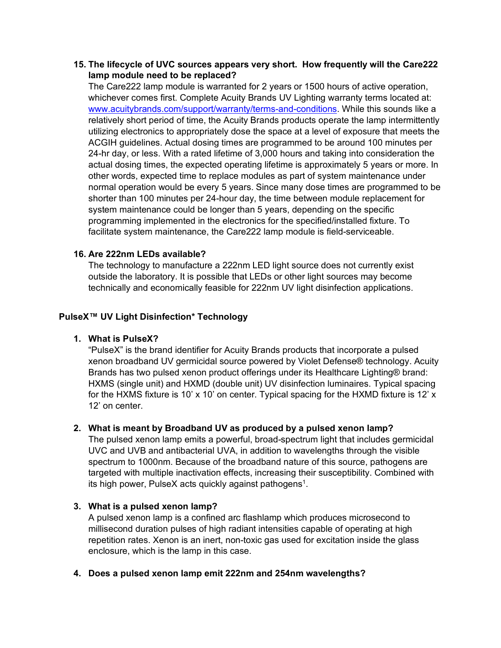## **15. The lifecycle of UVC sources appears very short. How frequently will the Care222 lamp module need to be replaced?**

The Care222 lamp module is warranted for 2 years or 1500 hours of active operation, whichever comes first. Complete Acuity Brands UV Lighting warranty terms located at: [www.acuitybrands.com/support/warranty/terms-and-conditions.](http://www.acuitybrands.com/support/warranty/terms-and-conditions) While this sounds like a relatively short period of time, the Acuity Brands products operate the lamp intermittently utilizing electronics to appropriately dose the space at a level of exposure that meets the ACGIH guidelines. Actual dosing times are programmed to be around 100 minutes per 24-hr day, or less. With a rated lifetime of 3,000 hours and taking into consideration the actual dosing times, the expected operating lifetime is approximately 5 years or more. In other words, expected time to replace modules as part of system maintenance under normal operation would be every 5 years. Since many dose times are programmed to be shorter than 100 minutes per 24-hour day, the time between module replacement for system maintenance could be longer than 5 years, depending on the specific programming implemented in the electronics for the specified/installed fixture. To facilitate system maintenance, the Care222 lamp module is field-serviceable.

## **16. Are 222nm LEDs available?**

The technology to manufacture a 222nm LED light source does not currently exist outside the laboratory. It is possible that LEDs or other light sources may become technically and economically feasible for 222nm UV light disinfection applications.

# **PulseX™ UV Light Disinfection\* Technology**

## **1. What is PulseX?**

"PulseX" is the brand identifier for Acuity Brands products that incorporate a pulsed xenon broadband UV germicidal source powered by Violet Defense® technology. Acuity Brands has two pulsed xenon product offerings under its Healthcare Lighting® brand: HXMS (single unit) and HXMD (double unit) UV disinfection luminaires. Typical spacing for the HXMS fixture is 10' x 10' on center. Typical spacing for the HXMD fixture is 12' x 12' on center.

## **2. What is meant by Broadband UV as produced by a pulsed xenon lamp?**

The pulsed xenon lamp emits a powerful, broad-spectrum light that includes germicidal UVC and UVB and antibacterial UVA, in addition to wavelengths through the visible spectrum to 1000nm. Because of the broadband nature of this source, pathogens are targeted with multiple inactivation effects, increasing their susceptibility. Combined with its high power, PulseX acts quickly against pathogens<sup>1</sup>.

## **3. What is a pulsed xenon lamp?**

A pulsed xenon lamp is a confined arc flashlamp which produces microsecond to millisecond duration pulses of high radiant intensities capable of operating at high repetition rates. Xenon is an inert, non-toxic gas used for excitation inside the glass enclosure, which is the lamp in this case.

## **4. Does a pulsed xenon lamp emit 222nm and 254nm wavelengths?**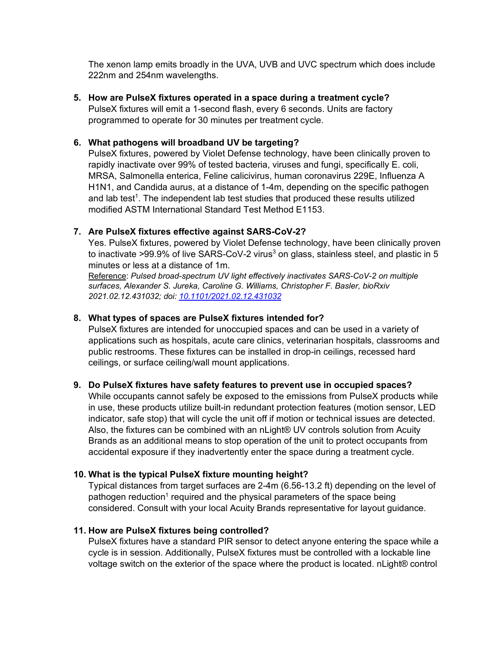The xenon lamp emits broadly in the UVA, UVB and UVC spectrum which does include 222nm and 254nm wavelengths.

**5. How are PulseX fixtures operated in a space during a treatment cycle?**

PulseX fixtures will emit a 1-second flash, every 6 seconds. Units are factory programmed to operate for 30 minutes per treatment cycle.

## **6. What pathogens will broadband UV be targeting?**

PulseX fixtures, powered by Violet Defense technology, have been clinically proven to rapidly inactivate over 99% of tested bacteria, viruses and fungi, specifically E. coli, MRSA, Salmonella enterica, Feline calicivirus, human coronavirus 229E, Influenza A H1N1, and Candida aurus, at a distance of 1-4m, depending on the specific pathogen and lab test<sup>1</sup>. The independent lab test studies that produced these results utilized modified ASTM International Standard Test Method E1153.

## **7. Are PulseX fixtures effective against SARS-CoV-2?**

Yes. PulseX fixtures, powered by Violet Defense technology, have been clinically proven to inactivate >99.9% of live SARS-CoV-2 virus<sup>3</sup> on glass, stainless steel, and plastic in 5 minutes or less at a distance of 1m.

Reference: *Pulsed broad-spectrum UV light effectively inactivates SARS-CoV-2 on multiple surfaces, Alexander S. Jureka, Caroline G. Williams, Christopher F. Basler, bioRxiv 2021.02.12.431032; doi: [10.1101/2021.02.12.431032](https://doi.org/10.1101/2021.02.12.431032)*

# **8. What types of spaces are PulseX fixtures intended for?**

PulseX fixtures are intended for unoccupied spaces and can be used in a variety of applications such as hospitals, acute care clinics, veterinarian hospitals, classrooms and public restrooms. These fixtures can be installed in drop-in ceilings, recessed hard ceilings, or surface ceiling/wall mount applications.

## **9. Do PulseX fixtures have safety features to prevent use in occupied spaces?**

While occupants cannot safely be exposed to the emissions from PulseX products while in use, these products utilize built-in redundant protection features (motion sensor, LED indicator, safe stop) that will cycle the unit off if motion or technical issues are detected. Also, the fixtures can be combined with an nLight® UV controls solution from Acuity Brands as an additional means to stop operation of the unit to protect occupants from accidental exposure if they inadvertently enter the space during a treatment cycle.

## **10. What is the typical PulseX fixture mounting height?**

Typical distances from target surfaces are 2-4m (6.56-13.2 ft) depending on the level of pathogen reduction<sup>1</sup> required and the physical parameters of the space being considered. Consult with your local Acuity Brands representative for layout guidance.

## **11. How are PulseX fixtures being controlled?**

PulseX fixtures have a standard PIR sensor to detect anyone entering the space while a cycle is in session. Additionally, PulseX fixtures must be controlled with a lockable line voltage switch on the exterior of the space where the product is located. nLight® control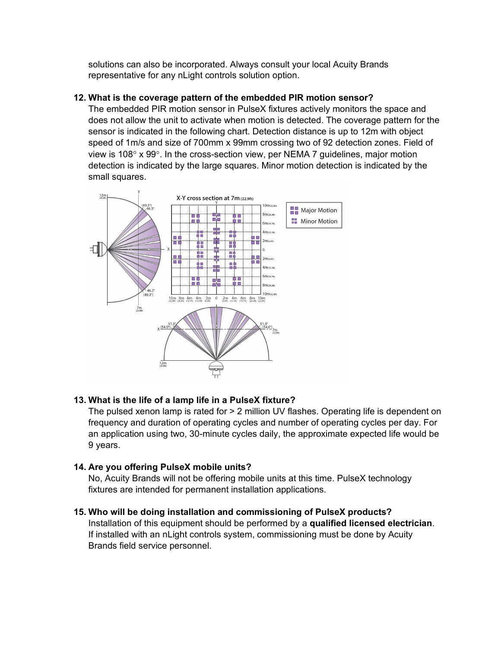solutions can also be incorporated. Always consult your local Acuity Brands representative for any nLight controls solution option.

# **12. What is the coverage pattern of the embedded PIR motion sensor?**

The embedded PIR motion sensor in PulseX fixtures actively monitors the space and does not allow the unit to activate when motion is detected. The coverage pattern for the sensor is indicated in the following chart. Detection distance is up to 12m with object speed of 1m/s and size of 700mm x 99mm crossing two of 92 detection zones. Field of view is 108 $\degree$  x 99 $\degree$ . In the cross-section view, per NEMA 7 guidelines, major motion detection is indicated by the large squares. Minor motion detection is indicated by the small squares.



# **13. What is the life of a lamp life in a PulseX fixture?**

The pulsed xenon lamp is rated for > 2 million UV flashes. Operating life is dependent on frequency and duration of operating cycles and number of operating cycles per day. For an application using two, 30-minute cycles daily, the approximate expected life would be 9 years.

# **14. Are you offering PulseX mobile units?**

No, Acuity Brands will not be offering mobile units at this time. PulseX technology fixtures are intended for permanent installation applications.

# **15. Who will be doing installation and commissioning of PulseX products?**

Installation of this equipment should be performed by a **qualified licensed electrician**. If installed with an nLight controls system, commissioning must be done by Acuity Brands field service personnel.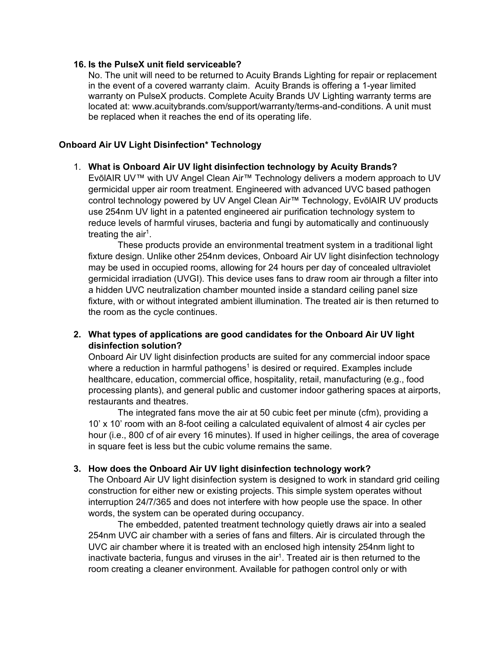#### **16. Is the PulseX unit field serviceable?**

No. The unit will need to be returned to Acuity Brands Lighting for repair or replacement in the event of a covered warranty claim. Acuity Brands is offering a 1-year limited warranty on PulseX products. Complete Acuity Brands UV Lighting warranty terms are located at: [www.acuitybrands.com/support/warranty/terms-and-conditions.](http://www.acuitybrands.com/support/warranty/terms-and-conditions) A unit must be replaced when it reaches the end of its operating life.

## **Onboard Air UV Light Disinfection\* Technology**

#### 1. **What is Onboard Air UV light disinfection technology by Acuity Brands?**

EvōlAIR UV™ with UV Angel Clean Air™ Technology delivers a modern approach to UV germicidal upper air room treatment. Engineered with advanced UVC based pathogen control technology powered by UV Angel Clean Air™ Technology, EvōlAIR UV products use 254nm UV light in a patented engineered air purification technology system to reduce levels of harmful viruses, bacteria and fungi by automatically and continuously treating the  $air<sup>1</sup>$ .

These products provide an environmental treatment system in a traditional light fixture design. Unlike other 254nm devices, Onboard Air UV light disinfection technology may be used in occupied rooms, allowing for 24 hours per day of concealed ultraviolet germicidal irradiation (UVGI). This device uses fans to draw room air through a filter into a hidden UVC neutralization chamber mounted inside a standard ceiling panel size fixture, with or without integrated ambient illumination. The treated air is then returned to the room as the cycle continues.

## **2. What types of applications are good candidates for the Onboard Air UV light disinfection solution?**

Onboard Air UV light disinfection products are suited for any commercial indoor space where a reduction in harmful pathogens<sup>1</sup> is desired or required. Examples include healthcare, education, commercial office, hospitality, retail, manufacturing (e.g., food processing plants), and general public and customer indoor gathering spaces at airports, restaurants and theatres.

The integrated fans move the air at 50 cubic feet per minute (cfm), providing a 10' x 10' room with an 8-foot ceiling a calculated equivalent of almost 4 air cycles per hour (i.e., 800 cf of air every 16 minutes). If used in higher ceilings, the area of coverage in square feet is less but the cubic volume remains the same.

#### **3. How does the Onboard Air UV light disinfection technology work?**

The Onboard Air UV light disinfection system is designed to work in standard grid ceiling construction for either new or existing projects. This simple system operates without interruption 24/7/365 and does not interfere with how people use the space. In other words, the system can be operated during occupancy.

The embedded, patented treatment technology quietly draws air into a sealed 254nm UVC air chamber with a series of fans and filters. Air is circulated through the UVC air chamber where it is treated with an enclosed high intensity 254nm light to inactivate bacteria, fungus and viruses in the  $air<sup>1</sup>$ . Treated air is then returned to the room creating a cleaner environment. Available for pathogen control only or with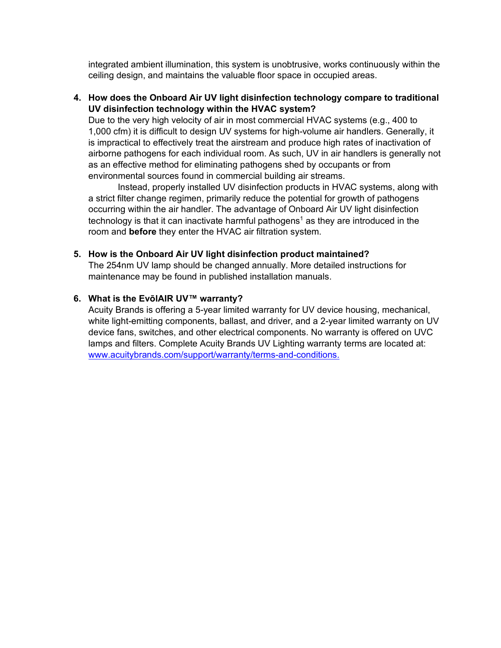integrated ambient illumination, this system is unobtrusive, works continuously within the ceiling design, and maintains the valuable floor space in occupied areas.

## **4. How does the Onboard Air UV light disinfection technology compare to traditional UV disinfection technology within the HVAC system?**

Due to the very high velocity of air in most commercial HVAC systems (e.g., 400 to 1,000 cfm) it is difficult to design UV systems for high-volume air handlers. Generally, it is impractical to effectively treat the airstream and produce high rates of inactivation of airborne pathogens for each individual room. As such, UV in air handlers is generally not as an effective method for eliminating pathogens shed by occupants or from environmental sources found in commercial building air streams.

Instead, properly installed UV disinfection products in HVAC systems, along with a strict filter change regimen, primarily reduce the potential for growth of pathogens occurring within the air handler. The advantage of Onboard Air UV light disinfection technology is that it can inactivate harmful pathogens<sup>1</sup> as they are introduced in the room and **before** they enter the HVAC air filtration system.

#### **5. How is the Onboard Air UV light disinfection product maintained?**

The 254nm UV lamp should be changed annually. More detailed instructions for maintenance may be found in published installation manuals.

#### **6. What is the EvōlAIR UV™ warranty?**

Acuity Brands is offering a 5-year limited warranty for UV device housing, mechanical, white light-emitting components, ballast, and driver, and a 2-year limited warranty on UV device fans, switches, and other electrical components. No warranty is offered on UVC lamps and filters. Complete Acuity Brands UV Lighting warranty terms are located at: [www.acuitybrands.com/support/warranty/terms-and-conditions.](http://www.acuitybrands.com/support/warranty/terms-and-conditions)